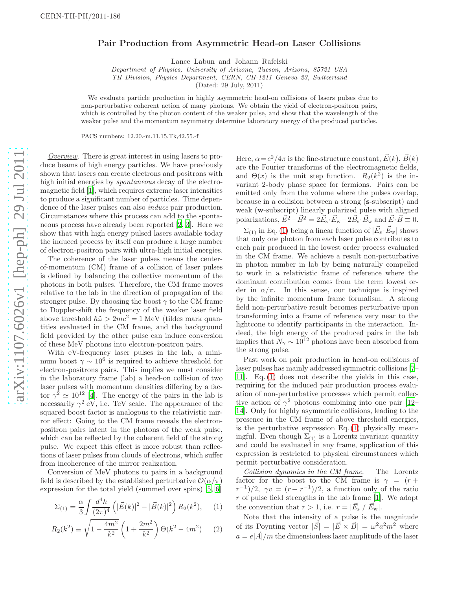## Pair Production from Asymmetric Head-on Laser Collisions

Lance Labun and Johann Rafelski

*Department of Physics, University of Arizona, Tucson, Arizona, 85721 USA*

*TH Division, Physics Department, CERN, CH-1211 Geneva 23, Switzerland*

(Dated: 29 July, 2011)

We evaluate particle production in highly asymmetric head-on collisions of lasers pulses due to non-perturbative coherent action of many photons. We obtain the yield of electron-positron pairs, which is controlled by the photon content of the weaker pulse, and show that the wavelength of the weaker pulse and the momentum asymmetry determine laboratory energy of the produced particles.

PACS numbers: 12.20.-m,11.15.Tk,42.55.-f

Overview. There is great interest in using lasers to produce beams of high energy particles. We have previously shown that lasers can create electrons and positrons with high initial energies by *spontaneous* decay of the electromagnetic field [\[1](#page-3-0)], which requires extreme laser intensities to produce a significant number of particles. Time dependence of the laser pulses can also induce pair production. Circumstances where this process can add to the spontaneous process have already been reported [\[2,](#page-3-1) [3\]](#page-3-2). Here we show that with high energy pulsed lasers available today the induced process by itself can produce a large number of electron-positron pairs with ultra-high initial energies.

The coherence of the laser pulses means the centerof-momentum (CM) frame of a collision of laser pulses is defined by balancing the collective momentum of the photons in both pulses. Therefore, the CM frame moves relative to the lab in the direction of propagation of the stronger pulse. By choosing the boost  $\gamma$  to the CM frame to Doppler-shift the frequency of the weaker laser field above threshold  $\hbar\tilde{\omega} > 2mc^2 = 1$  MeV (tildes mark quantities evaluated in the CM frame, and the background field provided by the other pulse can induce conversion of these MeV photons into electron-positron pairs.

With eV-frequency laser pulses in the lab, a minimum boost  $\gamma \sim 10^6$  is required to achieve threshold for electron-positrons pairs. This implies we must consider in the laboratory frame (lab) a head-on collision of two laser pulses with momentum densities differing by a factor  $\gamma^2 \simeq 10^{12}$  [\[4\]](#page-3-3). The energy of the pairs in the lab is necessarily  $\gamma^2$  eV, i.e. TeV scale. The appearance of the squared boost factor is analogous to the relativistic mirror effect: Going to the CM frame reveals the electronpositron pairs latent in the photons of the weak pulse, which can be reflected by the coherent field of the strong pulse. We expect this effect is more robust than reflections of laser pulses from clouds of electrons, which suffer from incoherence of the mirror realization.

Conversion of MeV photons to pairs in a background field is described by the established perturbative  $\mathcal{O}(\alpha/\pi)$ expression for the total yield (summed over spins) [\[5,](#page-3-4) [6\]](#page-3-5)

$$
\Sigma_{(1)} = \frac{\alpha}{3} \int \frac{d^4k}{(2\pi)^4} \left( |\vec{E}(k)|^2 - |\vec{B}(k)|^2 \right) R_2(k^2), \quad (1)
$$

$$
R_2(k^2) \equiv \sqrt{1 - \frac{4m^2}{k^2}} \left(1 + \frac{2m^2}{k^2}\right) \Theta(k^2 - 4m^2) \tag{2}
$$

Here,  $\alpha = e^2/4\pi$  is the fine-structure constant,  $\vec{E}(k)$ ,  $\vec{B}(k)$ are the Fourier transforms of the electromagnetic fields, and  $\Theta(x)$  is the unit step function.  $R_2(k^2)$  is the invariant 2-body phase space for fermions. Pairs can be emitted only from the volume where the pulses overlap, because in a collision between a strong ( s-subscript) and weak ( w-subscript) linearly polarized pulse with aligned polarizations,  $\vec{E}^2 - \vec{B}^2 = 2\vec{E}_s \cdot \vec{E}_w - 2\vec{B}_s \cdot \vec{B}_w$  and  $\vec{E} \cdot \vec{B} \equiv 0$ .

 $\Sigma_{(1)}$  in Eq. [\(1\)](#page-0-0) being a linear function of  $|\vec{E}_{s} \cdot \vec{E}_{w}|$  shows that only one photon from each laser pulse contributes to each pair produced in the lowest order process evaluated in the CM frame. We achieve a result non-perturbative in photon number in lab by being naturally compelled to work in a relativistic frame of reference where the dominant contribution comes from the term lowest order in  $\alpha/\pi$ . In this sense, our technique is inspired by the infinite momentum frame formalism. A strong field non-perturbative result becomes perturbative upon transforming into a frame of reference very near to the lightcone to identify participants in the interaction. Indeed, the high energy of the produced pairs in the lab implies that  $N_{\gamma} \sim 10^{12}$  photons have been absorbed from the strong pulse.

Past work on pair production in head-on collisions of laser pulses has mainly addressed symmetric collisions [\[7](#page-3-6)– [11](#page-3-7)]. Eq. [\(1\)](#page-0-0) does not describe the yields in this case, requiring for the induced pair production process evaluation of non-perturbative processes which permit collective action of  $\gamma^2$  photons combining into one pair [\[12](#page-3-8)– [14](#page-3-9)]. Only for highly asymmetric collisions, leading to the presence in the CM frame of above threshold energies, is the perturbative expression Eq.  $(1)$  physically meaningful. Even though  $\Sigma_{(1)}$  is a Lorentz invariant quantity and could be evaluated in any frame, application of this expression is restricted to physical circumstances which permit perturbative consideration.

Collision dynamics in the CM frame. The Lorentz factor for the boost to the CM frame is  $\gamma = (r +$  $(r^{-1})/2$ ,  $\gamma v = (r - r^{-1})/2$ , a function only of the ratio  $r$  of pulse field strengths in the lab frame [\[1\]](#page-3-0). We adopt the convention that  $r > 1$ , i.e.  $r = |\vec{E}_s|/|\vec{E}_{w}|$ .

<span id="page-0-0"></span>Note that the intensity of a pulse is the magnitude of its Poynting vector  $|\vec{S}| = |\vec{E} \times \vec{B}| = \omega^2 a^2 m^2$  where  $a = e|\vec{A}|/m$  the dimensionless laser amplitude of the laser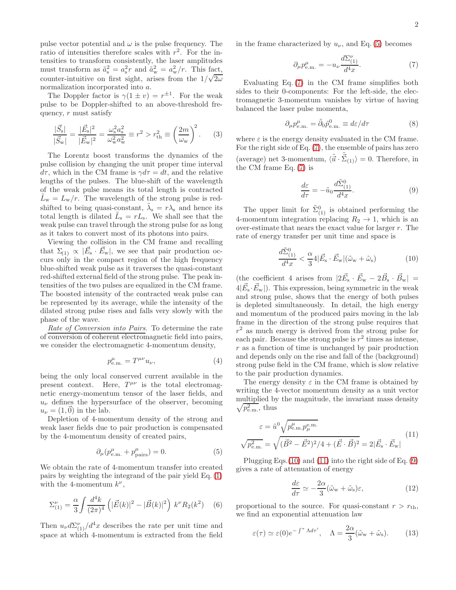pulse vector potential and  $\omega$  is the pulse frequency. The ratio of intensities therefore scales with  $r^2$ . For the intensities to transform consistently, the laser amplitudes must transform as  $\tilde{a}_s^2 = a_s^2 r$  and  $\tilde{a}_w^2 = a_w^2 / r$ . This fact, counter-intuitive on first sight, arises from the  $1/\sqrt{2\omega}$ normalization incorporated into a.

The Doppler factor is  $\gamma(1 \pm v) = r^{\pm 1}$ . For the weak pulse to be Doppler-shifted to an above-threshold frequency,  $r$  must satisfy

$$
\frac{|\vec{S}_{\rm s}|}{|\vec{S}_{\rm w}|} = \frac{|\vec{E}_{\rm s}|^2}{|\vec{E}_{\rm w}|^2} = \frac{\omega_{\rm s}^2 a_{\rm s}^2}{\omega_{\rm w}^2 a_{\rm w}^2} \equiv r^2 > r_{\rm th}^2 \equiv \left(\frac{2m}{\omega_{\rm w}}\right)^2.
$$
 (3)

The Lorentz boost transforms the dynamics of the pulse collision by changing the unit proper time interval  $d\tau$ , which in the CM frame is  $\gamma d\tau = dt$ , and the relative lengths of the pulses. The blue-shift of the wavelength of the weak pulse means its total length is contracted  $L_{\rm w} = L_{\rm w}/r$ . The wavelength of the strong pulse is redshifted to being quasi-constant,  $\tilde{\lambda}_s = r \lambda_s$  and hence its total length is dilated  $\tilde{L}_s = rL_s$ . We shall see that the weak pulse can travel through the strong pulse for as long as it takes to convert most of its photons into pairs.

Viewing the collision in the CM frame and recalling that  $\Sigma_{(1)} \propto |\vec{E}_{s} \cdot \vec{E}_{w}|$ , we see that pair production occurs only in the compact region of the high frequency blue-shifted weak pulse as it traverses the quasi-constant red-shifted external field of the strong pulse. The peak intensities of the two pulses are equalized in the CM frame. The boosted intensity of the contracted weak pulse can be represented by its average, while the intensity of the dilated strong pulse rises and falls very slowly with the phase of the wave.

Rate of Conversion into Pairs. To determine the rate of conversion of coherent electromagnetic field into pairs, we consider the electromagnetic 4-momentum density,

$$
p_{\text{e.m.}}^{\mu} = T^{\mu\nu} u_{\nu},\tag{4}
$$

being the only local conserved current available in the present context. Here,  $T^{\mu\nu}$  is the total electromagnetic energy-momentum tensor of the laser fields, and  $u_{\nu}$  defines the hypersurface of the observer, becoming  $u_{\nu} = (1,0)$  in the lab.

Depletion of 4-momentum density of the strong and weak laser fields due to pair production is compensated by the 4-momentum density of created pairs,

<span id="page-1-0"></span>
$$
\partial_{\mu}(p_{\text{e.m.}}^{\mu} + p_{\text{pairs}}^{\mu}) = 0. \tag{5}
$$

We obtain the rate of 4-momentum transfer into created pairs by weighting the integrand of the pair yield Eq. [\(1\)](#page-0-0) with the 4-momentum  $k^{\nu}$ ,

$$
\Sigma_{(1)}^{\nu} = \frac{\alpha}{3} \int \frac{d^4k}{(2\pi)^4} \left( |\vec{E}(k)|^2 - |\vec{B}(k)|^2 \right) k^{\nu} R_2(k^2) \quad (6)
$$

Then  $u_{\nu}d\Sigma_{(1)}^{\nu}/d^4x$  describes the rate per unit time and space at which 4-momentum is extracted from the field in the frame characterized by  $u_{\nu}$ , and Eq. [\(5\)](#page-1-0) becomes

<span id="page-1-1"></span>
$$
\partial_{\mu}p_{\text{e.m.}}^{\mu} = -u_{\nu}\frac{d\Sigma_{(1)}^{\nu}}{d^4x}.\tag{7}
$$

Evaluating Eq. [\(7\)](#page-1-1) in the CM frame simplifies both sides to their 0-components: For the left-side, the electromagnetic 3-momentum vanishes by virtue of having balanced the laser pulse momenta,

$$
\partial_{\mu} p_{\text{e.m.}}^{\mu} = \tilde{\partial}_{0} \tilde{p}_{\text{e.m.}}^0 \equiv d\varepsilon/d\tau \tag{8}
$$

where  $\varepsilon$  is the energy density evaluated in the CM frame. For the right side of Eq. [\(7\)](#page-1-1), the ensemble of pairs has zero (average) net 3-momentum,  $\langle \tilde{\vec{u}} \cdot \tilde{\vec{\Sigma}}_{(1)} \rangle = 0$ . Therefore, in the CM frame Eq. [\(7\)](#page-1-1) is

<span id="page-1-4"></span>
$$
\frac{d\varepsilon}{d\tau} = -\tilde{u}_0 \frac{d\tilde{\Sigma}_{(1)}^0}{d^4 x}.
$$
\n(9)

The upper limit for  $\tilde{\Sigma}_{(1)}^0$  is obtained performing the 4-momentum integration replacing  $R_2 \rightarrow 1$ , which is an over-estimate that nears the exact value for larger r. The rate of energy transfer per unit time and space is

<span id="page-1-2"></span>
$$
\frac{d\tilde{\Sigma}_{(1)}^0}{d^4x} < \frac{\alpha}{3} 4|\vec{E}_s \cdot \vec{E}_w|(\tilde{\omega}_w + \tilde{\omega}_s) \tag{10}
$$

(the coefficient 4 arises from  $|2\vec{E}_s \cdot \vec{E}_w - 2\vec{B}_s \cdot \vec{B}_w|$  =  $4|\vec{E}_{s} \cdot \vec{E}_{w}|$ ). This expression, being symmetric in the weak and strong pulse, shows that the energy of both pulses is depleted simultaneously. In detail, the high energy and momentum of the produced pairs moving in the lab frame in the direction of the strong pulse requires that  $r<sup>2</sup>$  as much energy is derived from the strong pulse for each pair. Because the strong pulse is  $r^2$  times as intense, r as a function of time is unchanged by pair production and depends only on the rise and fall of the (background) strong pulse field in the CM frame, which is slow relative to the pair production dynamics.

The energy density  $\varepsilon$  in the CM frame is obtained by writing the 4-vector momentum density as a unit vector multiplied by the magnitude, the invariant mass density  $\sqrt{p_{\rm e.m.}^2}$ , thus

<span id="page-1-3"></span>
$$
\varepsilon = \tilde{u}^{0} \sqrt{p_{e.m.}^{\mu} p_{\mu}^{e.m.}}\n\sqrt{p_{e.m.}^{2}} = \sqrt{(\vec{B}^{2} - \vec{E}^{2})^{2}/4 + (\vec{E} \cdot \vec{B})^{2}} = 2|\vec{E}_{s} \cdot \vec{E}_{w}|
$$
\n(11)

Plugging Eqs.[\(10\)](#page-1-2) and [\(11\)](#page-1-3) into the right side of Eq. [\(9\)](#page-1-4) gives a rate of attenuation of energy

$$
\frac{d\varepsilon}{d\tau} \simeq -\frac{2\alpha}{3} (\tilde{\omega}_{\rm w} + \tilde{\omega}_{\rm s}) \varepsilon, \tag{12}
$$

proportional to the source. For quasi-constant  $r > r_{\text{th}}$ , we find an exponential attenuation law

<span id="page-1-5"></span>
$$
\varepsilon(\tau) \simeq \varepsilon(0)e^{-\int^{\tau} \Lambda d\tau'}, \quad \Lambda = \frac{2\alpha}{3}(\tilde{\omega}_{\rm w} + \tilde{\omega}_{\rm s}).\tag{13}
$$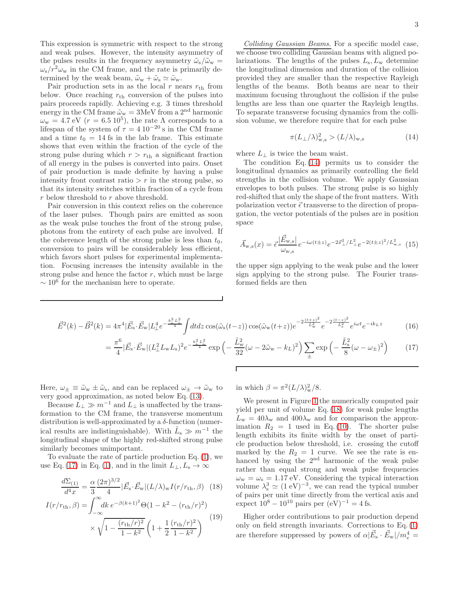This expression is symmetric with respect to the strong and weak pulses. However, the intensity asymmetry of the pulses results in the frequency asymmetry  $\tilde{\omega}_{s}/\tilde{\omega}_{w}$  =  $\omega_s/r^2\omega_w$  in the CM frame, and the rate is primarily determined by the weak beam,  $\tilde{\omega}_{w} + \tilde{\omega}_{s} \simeq \tilde{\omega}_{w}$ .

Pair production sets in as the local  $r$  nears  $r_{\text{th}}$  from below. Once reaching  $r_{\text{th}}$  conversion of the pulses into pairs proceeds rapidly. Achieving e.g. 3 times threshold energy in the CM frame  $\tilde{\omega}_{\rm w}=3{\rm MeV}$  from a  $2^{\rm nd}$  harmonic  $\omega_{\rm w} = 4.7 \,\text{eV}$  ( $r = 6.5 \,10^5$ ), the rate  $\Lambda$  corresponds to a lifespan of the system of  $\tau = 4 \, 10^{-20}$  s in the CM frame and a time  $t_0 = 14$  fs in the lab frame. This estimate shows that even within the fraction of the cycle of the strong pulse during which  $r > r<sub>th</sub>$  a significant fraction of all energy in the pulses is converted into pairs. Onset of pair production is made definite by having a pulse intensity front contrast ratio  $\geq r$  in the strong pulse, so that its intensity switches within fraction of a cycle from r below threshold to r above threshold.

Pair conversion in this context relies on the coherence of the laser pulses. Though pairs are emitted as soon as the weak pulse touches the front of the strong pulse, photons from the entirety of each pulse are involved. If the coherence length of the strong pulse is less than  $t_0$ , conversion to pairs will be considerablely less efficient, which favors short pulses for experimental implementation. Focusing increases the intensity available in the strong pulse and hence the factor  $r$ , which must be large  $\sim 10^6$  for the mechanism here to operate.

Colliding Gaussian Beams. For a specific model case, we choose two colliding Gaussian beams with aligned polarizations. The lengths of the pulses  $L_s, L_w$  determine the longitudinal dimension and duration of the collision provided they are smaller than the respective Rayleigh lengths of the beams. Both beams are near to their maximum focusing throughout the collision if the pulse lengths are less than one quarter the Rayleigh lengths. To separate transverse focusing dynamics from the collision volume, we therefore require that for each pulse

<span id="page-2-0"></span>
$$
\pi (L_{\perp}/\lambda)^2_{\rm w,s} > (L/\lambda)_{\rm w,s} \tag{14}
$$

where  $L_{\perp}$  is twice the beam waist.

The condition Eq. [\(14\)](#page-2-0) permits us to consider the longitudinal dynamics as primarily controlling the field strengths in the collision volume. We apply Gaussian envelopes to both pulses. The strong pulse is so highly red-shifted that only the shape of the front matters. With polarization vector  $\vec{\epsilon}$  transverse to the direction of propagation, the vector potentials of the pulses are in position space

$$
\vec{A}_{w,s}(x) = \vec{\epsilon} \frac{|\vec{E}_{w,s}|}{\omega_{w,s}} e^{-i\omega(t \pm z)} e^{-2\vec{x}_{\perp}^2 / L_{\perp}^2} e^{-2(t \pm z)^2 / L_{w,s}^2}
$$
(15)

the upper sign applying to the weak pulse and the lower sign applying to the strong pulse. The Fourier transformed fields are then

$$
\vec{E}^{2}(k) - \vec{B}^{2}(k) = 4\pi^{4} |\vec{E}_{s} \cdot \vec{E}_{w}| L_{\perp}^{4} e^{-\frac{k_{\perp}^{2} L_{\perp}^{2}}{4}} \int dt dz \cos(\tilde{\omega}_{s}(t-z)) \cos(\tilde{\omega}_{w}(t+z)) e^{-2\frac{(t+z)^{2}}{L_{w}^{2}}} e^{-2\frac{(t-z)^{2}}{L_{s}^{2}}} e^{i\omega t} e^{-ik_{L}z}
$$
\n(16)

<span id="page-2-1"></span> $\Gamma$ 

$$
= \frac{\pi^6}{4} |\vec{E}_{\rm s} \cdot \vec{E}_{\rm w}| (L_{\perp}^2 L_{\rm w} L_{\rm s})^2 e^{-\frac{k_{\perp}^2 L_{\perp}^2}{4}} \exp\left(-\frac{\tilde{L}_{\rm w}^2}{32} (\omega - 2\tilde{\omega}_{\rm w} - k_L)^2\right) \sum_{\pm} \exp\left(-\frac{\tilde{L}_{\rm s}^2}{8} (\omega - \omega_{\pm})^2\right) \tag{17}
$$

Here,  $\omega_{\pm} \equiv \tilde{\omega}_{w} \pm \tilde{\omega}_{s}$ , and can be replaced  $\omega_{\pm} \rightarrow \tilde{\omega}_{w}$  to very good approximation, as noted below Eq. [\(13\)](#page-1-5).

Because  $L_{\perp} \gg m^{-1}$  and  $L_{\perp}$  is unaffected by the transformation to the CM frame, the transverse momentum distribution is well-approximated by a  $\delta$ -function (numerical results are indistinguishable). With  $\tilde{L}_s \gg m^{-1}$  the longitudinal shape of the highly red-shifted strong pulse similarly becomes unimportant.

To evaluate the rate of particle production Eq. [\(1\)](#page-0-0), we use Eq. [\(17\)](#page-2-1) in Eq. [\(1\)](#page-0-0), and in the limit  $L_{\perp}, L_{\rm s} \to \infty$ 

$$
\frac{d\Sigma_{(1)}}{d^4x} = \frac{\alpha}{3} \frac{(2\pi)^{3/2}}{4} |\vec{E}_s \cdot \vec{E}_w| (L/\lambda)_w I(r/r_{\rm th}, \beta) \quad (18)
$$

$$
I(r/r_{\rm th}, \beta) = \int_{-\infty}^{\infty} dk \, e^{-\beta (k+1)^2} \Theta(1 - k^2 - (r_{\rm th}/r)^2)
$$

$$
\times \sqrt{1 - \frac{(r_{\rm th}/r)^2}{1 - k^2}} \left(1 + \frac{1}{2} \frac{(r_{\rm th}/r)^2}{1 - k^2}\right)
$$
(19)

in which  $\beta = \pi^2 (L/\lambda)_w^2 / 8$ .

We present in Figure [1](#page-3-10) the numerically computed pair yield per unit of volume Eq. [\(18\)](#page-2-2) for weak pulse lengths  $L_{\rm w} = 40\lambda_{\rm w}$  and  $400\lambda_{\rm w}$  and for comparison the approximation  $R_2 = 1$  used in Eq. [\(10\)](#page-1-2). The shorter pulse length exhibits its finite width by the onset of particle production below threshold, i.e. crossing the cutoff marked by the  $R_2 = 1$  curve. We see the rate is enhanced by using the 2<sup>nd</sup> harmonic of the weak pulse rather than equal strong and weak pulse frequencies  $\omega_{\rm w} = \omega_{\rm s} = 1.17$  eV. Considering the typical interaction volume  $\lambda_s^3 \simeq (1 \text{ eV})^{-3}$ , we can read the typical number of pairs per unit time directly from the vertical axis and expect  $10^8 - 10^{10}$  pairs per  $(eV)^{-1} = 4$  fs.

<span id="page-2-2"></span>Higher order contributions to pair production depend only on field strength invariants. Corrections to Eq. [\(1\)](#page-0-0) are therefore suppressed by powers of  $\alpha |\vec{E}_{s} \cdot \vec{E}_{w}|/m_{e}^{4} =$